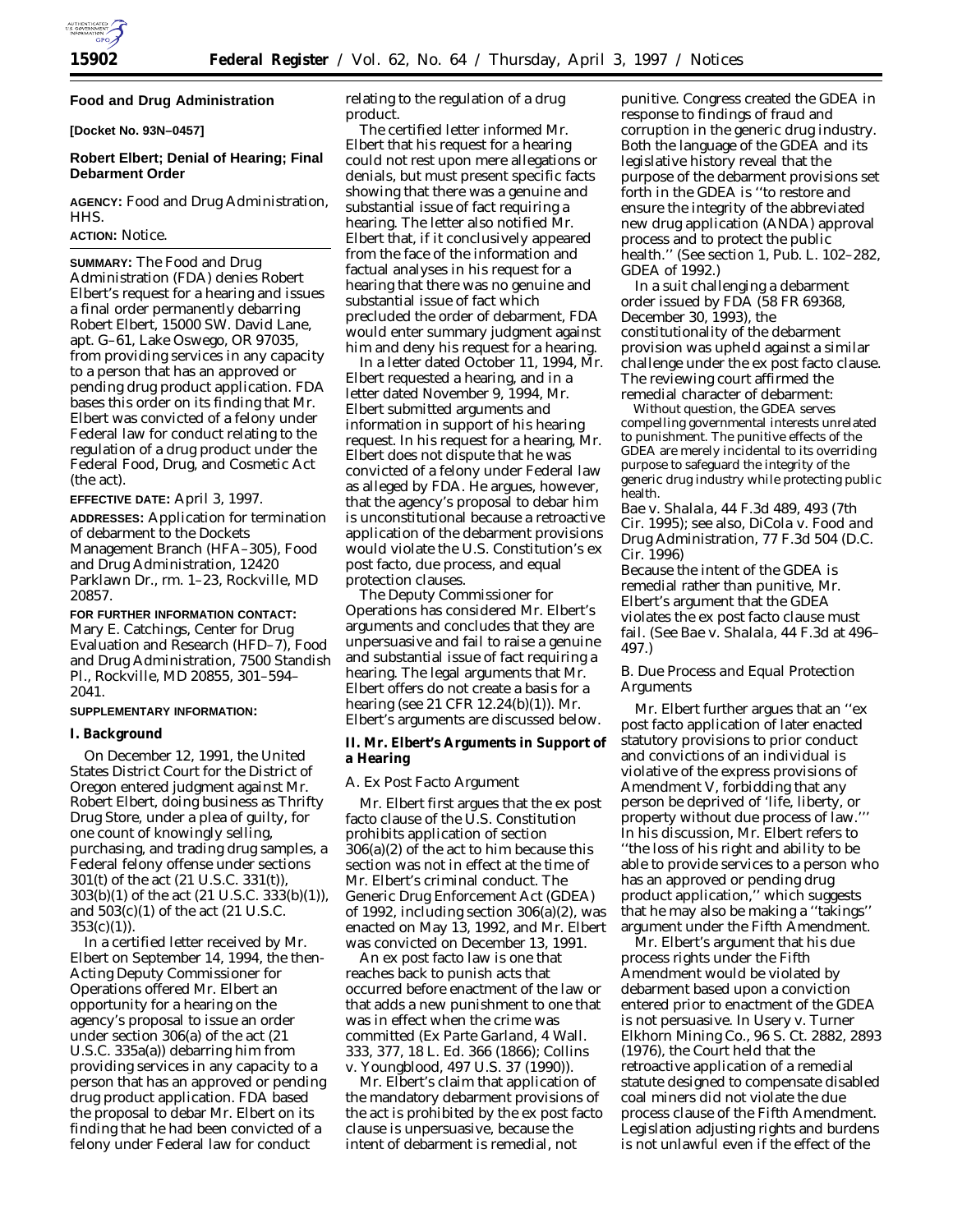

# **Food and Drug Administration**

**[Docket No. 93N–0457]**

# **Robert Elbert; Denial of Hearing; Final Debarment Order**

**AGENCY:** Food and Drug Administration, HHS.

### **ACTION:** Notice.

**SUMMARY:** The Food and Drug Administration (FDA) denies Robert Elbert's request for a hearing and issues a final order permanently debarring Robert Elbert, 15000 SW. David Lane, apt. G–61, Lake Oswego, OR 97035, from providing services in any capacity to a person that has an approved or pending drug product application. FDA bases this order on its finding that Mr. Elbert was convicted of a felony under Federal law for conduct relating to the regulation of a drug product under the Federal Food, Drug, and Cosmetic Act (the act).

### **EFFECTIVE DATE:** April 3, 1997.

**ADDRESSES:** Application for termination of debarment to the Dockets Management Branch (HFA–305), Food and Drug Administration, 12420 Parklawn Dr., rm. 1–23, Rockville, MD 20857.

**FOR FURTHER INFORMATION CONTACT:** Mary E. Catchings, Center for Drug Evaluation and Research (HFD–7), Food and Drug Administration, 7500 Standish Pl., Rockville, MD 20855, 301–594– 2041.

## **SUPPLEMENTARY INFORMATION:**

## **I. Background**

On December 12, 1991, the United States District Court for the District of Oregon entered judgment against Mr. Robert Elbert, doing business as Thrifty Drug Store, under a plea of guilty, for one count of knowingly selling, purchasing, and trading drug samples, a Federal felony offense under sections 301(t) of the act (21 U.S.C. 331(t)), 303(b)(1) of the act (21 U.S.C. 333(b)(1)), and 503(c)(1) of the act (21 U.S.C.  $353(c)(1)$ ).

In a certified letter received by Mr. Elbert on September 14, 1994, the then-Acting Deputy Commissioner for Operations offered Mr. Elbert an opportunity for a hearing on the agency's proposal to issue an order under section 306(a) of the act (21 U.S.C. 335a(a)) debarring him from providing services in any capacity to a person that has an approved or pending drug product application. FDA based the proposal to debar Mr. Elbert on its finding that he had been convicted of a felony under Federal law for conduct

relating to the regulation of a drug product.

The certified letter informed Mr. Elbert that his request for a hearing could not rest upon mere allegations or denials, but must present specific facts showing that there was a genuine and substantial issue of fact requiring a hearing. The letter also notified Mr. Elbert that, if it conclusively appeared from the face of the information and factual analyses in his request for a hearing that there was no genuine and substantial issue of fact which precluded the order of debarment, FDA would enter summary judgment against him and deny his request for a hearing.

In a letter dated October 11, 1994, Mr. Elbert requested a hearing, and in a letter dated November 9, 1994, Mr. Elbert submitted arguments and information in support of his hearing request. In his request for a hearing, Mr. Elbert does not dispute that he was convicted of a felony under Federal law as alleged by FDA. He argues, however, that the agency's proposal to debar him is unconstitutional because a retroactive application of the debarment provisions would violate the U.S. Constitution's ex post facto, due process, and equal protection clauses.

The Deputy Commissioner for Operations has considered Mr. Elbert's arguments and concludes that they are unpersuasive and fail to raise a genuine and substantial issue of fact requiring a hearing. The legal arguments that Mr. Elbert offers do not create a basis for a hearing (see 21 CFR 12.24(b)(1)). Mr. Elbert's arguments are discussed below.

## **II. Mr. Elbert's Arguments in Support of a Hearing**

#### *A. Ex Post Facto Argument*

Mr. Elbert first argues that the ex post facto clause of the U.S. Constitution prohibits application of section 306(a)(2) of the act to him because this section was not in effect at the time of Mr. Elbert's criminal conduct. The Generic Drug Enforcement Act (GDEA) of 1992, including section 306(a)(2), was enacted on May 13, 1992, and Mr. Elbert was convicted on December 13, 1991.

An ex post facto law is one that reaches back to punish acts that occurred before enactment of the law or that adds a new punishment to one that was in effect when the crime was committed (*Ex Parte Garland*, 4 Wall. 333, 377, 18 L. Ed. 366 (1866); *Collins* v. *Youngblood*, 497 U.S. 37 (1990)).

Mr. Elbert's claim that application of the mandatory debarment provisions of the act is prohibited by the ex post facto clause is unpersuasive, because the intent of debarment is remedial, not

punitive. Congress created the GDEA in response to findings of fraud and corruption in the generic drug industry. Both the language of the GDEA and its legislative history reveal that the purpose of the debarment provisions set forth in the GDEA is ''to restore and ensure the integrity of the abbreviated new drug application (ANDA) approval process and to protect the public health.'' (See section 1, Pub. L. 102–282, GDEA of 1992.)

In a suit challenging a debarment order issued by FDA (58 FR 69368, December 30, 1993), the constitutionality of the debarment provision was upheld against a similar challenge under the ex post facto clause. The reviewing court affirmed the remedial character of debarment:

Without question, the GDEA serves compelling governmental interests unrelated to punishment. The punitive effects of the GDEA are merely incidental to its overriding purpose to safeguard the integrity of the generic drug industry while protecting public health.

*Bae* v. *Shalala*, 44 F.3d 489, 493 (7th Cir. 1995); see also, *DiCola* v. *Food and Drug Administration*, 77 F.3d 504 (D.C. Cir. 1996)

Because the intent of the GDEA is remedial rather than punitive, Mr. Elbert's argument that the GDEA violates the ex post facto clause must fail. (See *Bae* v. *Shalala*, 44 F.3d at 496– 497.)

## *B. Due Process and Equal Protection Arguments*

Mr. Elbert further argues that an ''ex post facto application of later enacted statutory provisions to prior conduct and convictions of an individual is violative of the express provisions of Amendment V, forbidding that any person be deprived of 'life, liberty, or property without due process of law."" In his discussion, Mr. Elbert refers to ''the loss of his right and ability to be able to provide services to a person who has an approved or pending drug product application,'' which suggests that he may also be making a ''takings'' argument under the Fifth Amendment.

Mr. Elbert's argument that his due process rights under the Fifth Amendment would be violated by debarment based upon a conviction entered prior to enactment of the GDEA is not persuasive. In *Usery* v. *Turner Elkhorn Mining Co*., 96 S. Ct. 2882, 2893 (1976), the Court held that the retroactive application of a remedial statute designed to compensate disabled coal miners did not violate the due process clause of the Fifth Amendment. Legislation adjusting rights and burdens is not unlawful even if the effect of the